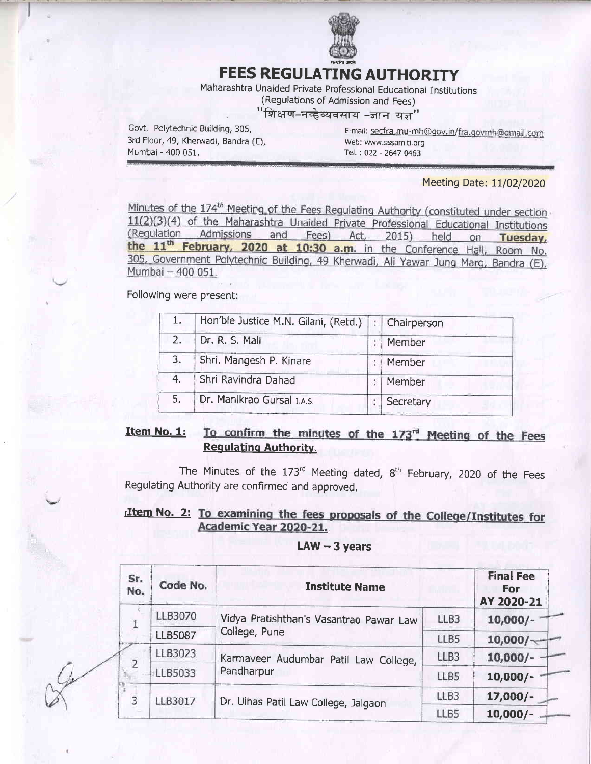

# **FEES REGULATING AUTHORITY**

Maharashtra Unaided Private Professional Educational Institutions

(Regulations of Admission and Fees)

## "शिक्षण-नव्हेव्यवसाय -ज्ञान यज्ञ"

Govt. Polytechnic Building, 305, 3rd Floor, 49, Kherwadi, Bandra (E), Mumbai - 400 051.

E-mail: secfra.mu-mh@gov.in/fra.govmh@gmail.com Web: www.sssamiti.org Tel.: 022 - 2647 0463

### Meeting Date: 11/02/2020

Minutes of the 174<sup>th</sup> Meeting of the Fees Regulating Authority (constituted under section 11(2)(3)(4) of the Maharashtra Unaided Private Professional Educational Institutions (Regulation Admissions and Fees) Act, 2015) held on Tuesday, the 11<sup>th</sup> February, 2020 at 10:30 a.m. in the Conference Hall, Room No. 305, Government Polytechnic Building, 49 Kherwadi, Ali Yawar Jung Marg, Bandra (E), Mumbai - 400 051.

Following were present:

|                            | Chairperson                              |
|----------------------------|------------------------------------------|
| Dr. R. S. Mali             | Member                                   |
| Shri. Mangesh P. Kinare    | Member                                   |
| Shri Ravindra Dahad        | Member                                   |
| Dr. Manikrao Gursal I.A.S. | Secretary                                |
|                            | Hon'ble Justice M.N. Gilani, (Retd.)   : |

#### Item No. 1: To confirm the minutes of the 173rd Meeting of the Fees **Requlating Authority.**

The Minutes of the 173rd Meeting dated, 8<sup>th</sup> February, 2020 of the Fees Requlating Authority are confirmed and approved.

### Item No. 2: To examining the fees proposals of the College/Institutes for Academic Year 2020-21.

### $LAW - 3 years$

| Sr.<br>No. | Code No.<br><b>Institute Name</b> |                                         |      |            |  |  |
|------------|-----------------------------------|-----------------------------------------|------|------------|--|--|
|            | LLB3070                           | Vidya Pratishthan's Vasantrao Pawar Law | LLB3 | $10,000/-$ |  |  |
|            | <b>LLB5087</b>                    | College, Pune                           | LLB5 | 10,000/    |  |  |
|            | LLB3023                           | Karmaveer Audumbar Patil Law College,   | LLB3 | $10,000/-$ |  |  |
|            | LLB5033                           | Pandharpur                              | LLB5 | $10,000/-$ |  |  |
| 3          | LLB3017                           | Dr. Ulhas Patil Law College, Jalgaon    | LLB3 | $17,000/-$ |  |  |
|            |                                   |                                         | LLB5 | $10,000/-$ |  |  |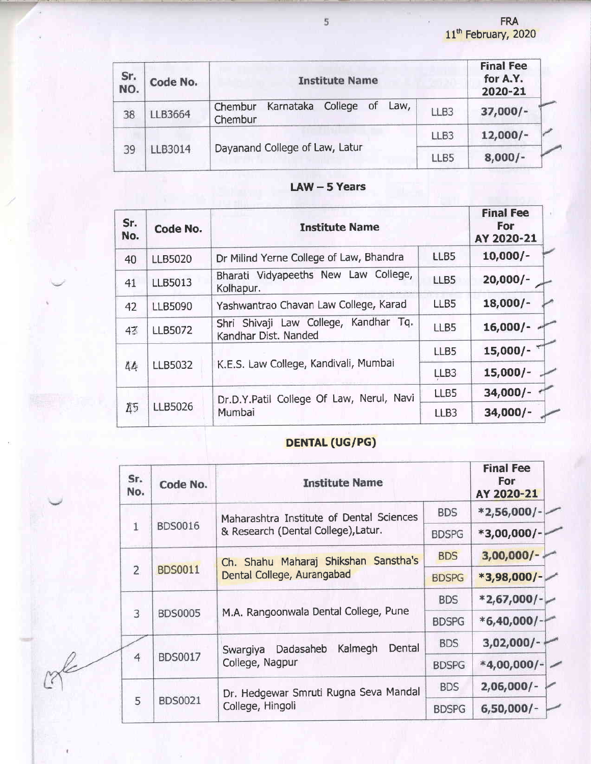| Sr.<br>NO.    | Code No.                       | <b>Institute Name</b>                                 | <b>Final Fee</b><br>for A.Y.<br>2020-21 |            |
|---------------|--------------------------------|-------------------------------------------------------|-----------------------------------------|------------|
| 38            | LLB3664                        | College of<br>Karnataka<br>Law,<br>Chembur<br>Chembur | LLB3                                    | $37,000/-$ |
|               |                                |                                                       | LLB3                                    | $12,000/-$ |
| LLB3014<br>39 | Dayanand College of Law, Latur | LLB5                                                  | $8,000/-$                               |            |

|  | $LAW - 5$ Years |
|--|-----------------|
|  |                 |

| Sr.<br>No. | Code No.       | <b>Institute Name</b>                                         | <b>Final Fee</b><br>For<br>AY 2020-21 |            |
|------------|----------------|---------------------------------------------------------------|---------------------------------------|------------|
| 40         | <b>LLB5020</b> | Dr Milind Yerne College of Law, Bhandra                       | LLB5                                  | $10,000/-$ |
| 41         | <b>LLB5013</b> | Bharati Vidyapeeths New Law College,<br>Kolhapur.             | LLB5                                  | $20,000/-$ |
| 42         | <b>LLB5090</b> | Yashwantrao Chavan Law College, Karad                         | LLB5                                  | $18,000/-$ |
| 43         | <b>LLB5072</b> | Shri Shivaji Law College, Kandhar Tq.<br>Kandhar Dist, Nanded | LLB5                                  | $16,000/-$ |
|            |                |                                                               | LLB5                                  | $15,000/-$ |
| 44         | LLB5032        | K.E.S. Law College, Kandivali, Mumbai                         | LLB3                                  | $15,000/-$ |
|            |                | Dr.D.Y.Patil College Of Law, Nerul, Navi                      | LLB5                                  | $34,000/-$ |
| 45         | LLB5026        | Mumbai                                                        | LLB <sub>3</sub>                      | $34,000/-$ |

# DENTAL (UG/PG)

|  | Sr.<br>No.     | Code No.                                              | <b>Institute Name</b>                                         |               | <b>Final Fee</b><br><b>For</b><br>AY 2020-21 |  |  |  |  |              |
|--|----------------|-------------------------------------------------------|---------------------------------------------------------------|---------------|----------------------------------------------|--|--|--|--|--------------|
|  |                | Maharashtra Institute of Dental Sciences              | <b>BDS</b>                                                    | $*2,56,000/-$ |                                              |  |  |  |  |              |
|  |                | <b>BDS0016</b><br>& Research (Dental College), Latur. |                                                               | <b>BDSPG</b>  | $*3,00,000/-$                                |  |  |  |  |              |
|  |                |                                                       | Ch. Shahu Maharaj Shikshan Sanstha's                          | <b>BDS</b>    | $3,00,000/ -$                                |  |  |  |  |              |
|  | $\overline{2}$ | <b>BDS0011</b>                                        | Dental College, Aurangabad                                    | <b>BDSPG</b>  | $*3,98,000/-$                                |  |  |  |  |              |
|  |                |                                                       | M.A. Rangoonwala Dental College, Pune                         | <b>BDS</b>    | $*2,67,000$ /- $\sim$                        |  |  |  |  |              |
|  | 3              | <b>BDS0005</b>                                        |                                                               | <b>BDSPG</b>  | $*6,40,000$ /-                               |  |  |  |  |              |
|  |                |                                                       | Kalmegh<br>Dental<br>Dadasaheb<br>Swargiya<br>College, Nagpur | <b>BDS</b>    | $3,02,000/ -$                                |  |  |  |  |              |
|  | $\overline{4}$ | BDS0017                                               |                                                               |               |                                              |  |  |  |  | <b>BDSPG</b> |
|  |                |                                                       | Dr. Hedgewar Smruti Rugna Seva Mandal                         | <b>BDS</b>    | $2,06,000/-$                                 |  |  |  |  |              |
|  | 5              | <b>BDS0021</b>                                        | College, Hingoli                                              | <b>BDSPG</b>  | $6,50,000/-$                                 |  |  |  |  |              |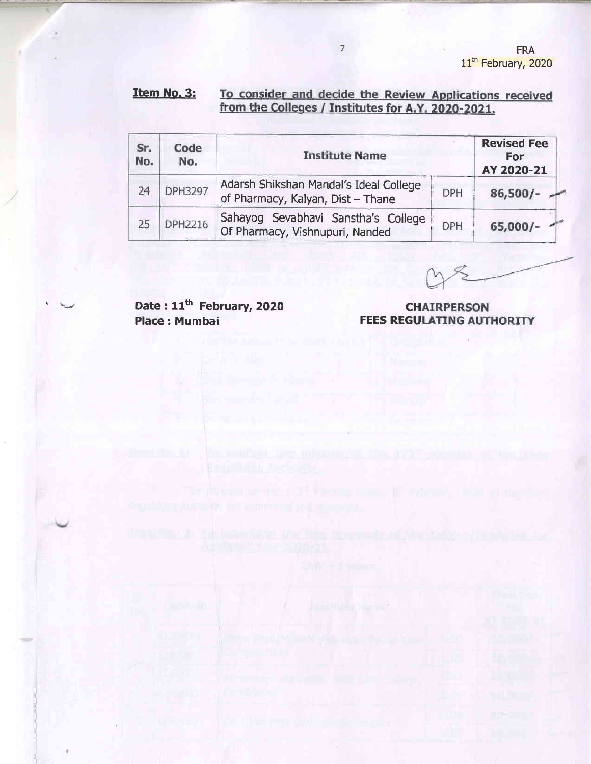#### Item No. 3: To consider and decide the Review Applications received from the Colleges / Institutes for A.Y. 2020-2021.

 $7$ 

| Sr.<br>No. | Code<br>No. | <b>Institute Name</b>                                                       | <b>Revised Fee</b><br>For<br>AY 2020-21 |            |
|------------|-------------|-----------------------------------------------------------------------------|-----------------------------------------|------------|
| 24         | DPH3297     | Adarsh Shikshan Mandal's Ideal College<br>of Pharmacy, Kalyan, Dist - Thane | <b>DPH</b>                              | $86,500/-$ |
| 25         | DPH2216     | Sahayog Sevabhavi Sanstha's College<br>Of Pharmacy, Vishnupuri, Nanded      | <b>DPH</b>                              | $65,000/-$ |

Date: 11<sup>th</sup> February, 2020 Place; Mumbai

**CHAIRPERSON FEES REGULATING AUTHORITY**